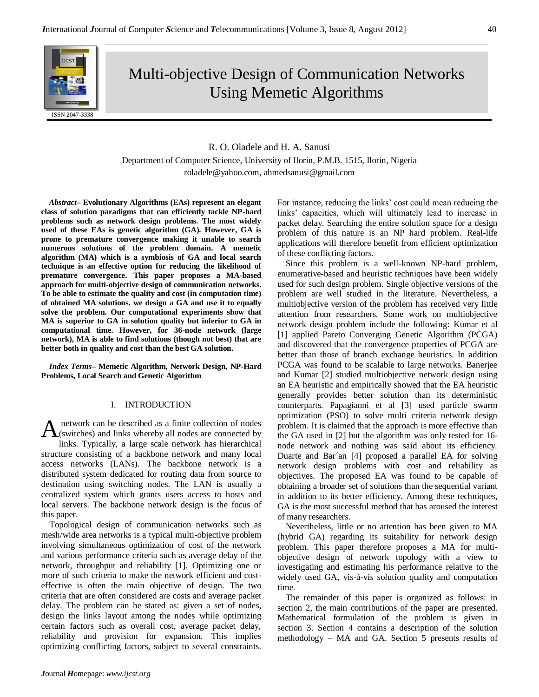

# Multi-objective Design of Communication Networks Using Memetic Algorithms

# R. O. Oladele and H. A. Sanusi

Department of Computer Science, University of Ilorin, P.M.B. 1515, Ilorin, Nigeria roladele@yahoo.com, ahmedsanusi@gmail.com

*Abstract–* **Evolutionary Algorithms (EAs) represent an elegant class of solution paradigms that can efficiently tackle NP-hard problems such as network design problems. The most widely used of these EAs is genetic algorithm (GA). However, GA is prone to premature convergence making it unable to search numerous solutions of the problem domain. A memetic algorithm (MA) which is a symbiosis of GA and local search technique is an effective option for reducing the likelihood of premature convergence. This paper proposes a MA-based approach for multi-objective design of communication networks. To be able to estimate the quality and cost (in computation time) of obtained MA solutions, we design a GA and use it to equally solve the problem. Our computational experiments show that MA is superior to GA in solution quality but inferior to GA in computational time. However, for 36-node network (large network), MA is able to find solutions (though not best) that are better both in quality and cost than the best GA solution.**

*Index Terms–* **Memetic Algorithm, Network Design, NP-Hard Problems, Local Search and Genetic Algorithm**

## I. INTRODUCTION

network can be described as a finite collection of nodes A network can be described as a finite collection of nodes<br>
(switches) and links whereby all nodes are connected by links. Typically, a large scale network has hierarchical structure consisting of a backbone network and many local access networks (LANs). The backbone network is a distributed system dedicated for routing data from source to destination using switching nodes. The LAN is usually a centralized system which grants users access to hosts and local servers. The backbone network design is the focus of this paper.

Topological design of communication networks such as mesh/wide area networks is a typical multi-objective problem involving simultaneous optimization of cost of the network and various performance criteria such as average delay of the network, throughput and reliability [1]. Optimizing one or more of such criteria to make the network efficient and costeffective is often the main objective of design. The two criteria that are often considered are costs and average packet delay. The problem can be stated as: given a set of nodes, design the links layout among the nodes while optimizing certain factors such as overall cost, average packet delay, reliability and provision for expansion. This implies optimizing conflicting factors, subject to several constraints.

For instance, reducing the links' cost could mean reducing the links' capacities, which will ultimately lead to increase in packet delay. Searching the entire solution space for a design problem of this nature is an NP hard problem. Real-life applications will therefore benefit from efficient optimization of these conflicting factors.

Since this problem is a well-known NP-hard problem, enumerative-based and heuristic techniques have been widely used for such design problem. Single objective versions of the problem are well studied in the literature. Nevertheless, a multiobjective version of the problem has received very little attention from researchers. Some work on multiobjective network design problem include the following: Kumar et al [1] applied Pareto Converging Genetic Algorithm (PCGA) and discovered that the convergence properties of PCGA are better than those of branch exchange heuristics. In addition PCGA was found to be scalable to large networks. Banerjee and Kumar [2] studied multiobjective network design using an EA heuristic and empirically showed that the EA heuristic generally provides better solution than its deterministic counterparts. Papagianni et al [3] used particle swarm optimization (PSO) to solve multi criteria network design problem. It is claimed that the approach is more effective than the GA used in [2] but the algorithm was only tested for 16 node network and nothing was said about its efficiency. Duarte and Bar´an [4] proposed a parallel EA for solving network design problems with cost and reliability as objectives. The proposed EA was found to be capable of obtaining a broader set of solutions than the sequential variant in addition to its better efficiency. Among these techniques, GA is the most successful method that has aroused the interest of many researchers.

Nevertheless, little or no attention has been given to MA (hybrid GA) regarding its suitability for network design problem. This paper therefore proposes a MA for multiobjective design of network topology with a view to investigating and estimating his performance relative to the widely used GA, vis-à-vis solution quality and computation time.

The remainder of this paper is organized as follows: in section 2, the main contributions of the paper are presented. Mathematical formulation of the problem is given in section 3. Section 4 contains a description of the solution methodology – MA and GA. Section 5 presents results of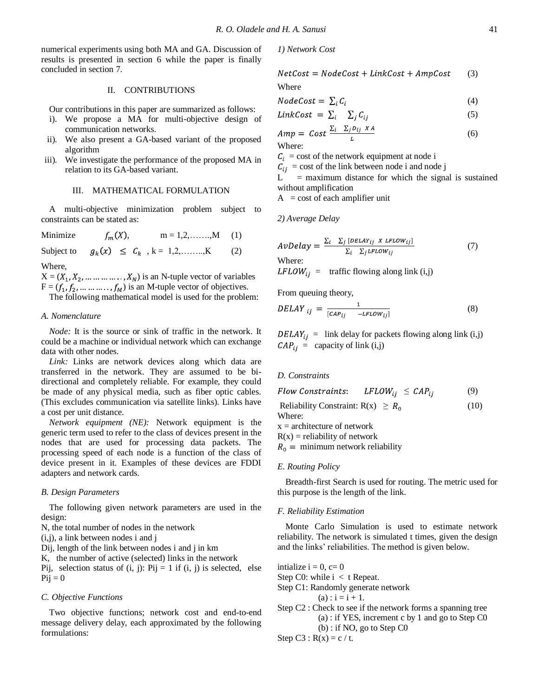numerical experiments using both MA and GA. Discussion of results is presented in section 6 while the paper is finally concluded in section 7.

#### II. CONTRIBUTIONS

Our contributions in this paper are summarized as follows:

- i). We propose a MA for multi-objective design of communication networks.
- ii). We also present a GA-based variant of the proposed algorithm
- iii). We investigate the performance of the proposed MA in relation to its GA-based variant.

#### III. MATHEMATICAL FORMULATION

A multi-objective minimization problem subject to constraints can be stated as:

Minimize  $f_m(X)$ ,  $m = 1,2,...,M$  (1) Subject to  $g_k(x) \leq C_k$ ,  $k = 1, 2, \dots, K$  (2)

Where,

 $X = (X_1, X_2, \dots \dots \dots \dots, X_N)$  is an N-tuple vector of variables  $F = (f_1, f_2, \dots, f_M)$  is an M-tuple vector of objectives.

The following mathematical model is used for the problem:

#### *A. Nomenclature*

*Node:* It is the source or sink of traffic in the network. It could be a machine or individual network which can exchange data with other nodes.

*Link:* Links are network devices along which data are transferred in the network. They are assumed to be bidirectional and completely reliable. For example, they could be made of any physical media, such as fiber optic cables. (This excludes communication via satellite links). Links have a cost per unit distance.

*Network equipment (NE):* Network equipment is the generic term used to refer to the class of devices present in the nodes that are used for processing data packets. The processing speed of each node is a function of the class of device present in it. Examples of these devices are FDDI adapters and network cards.

## *B. Design Parameters*

The following given network parameters are used in the design:

N, the total number of nodes in the network

(i,j), a link between nodes i and j

Dij, length of the link between nodes i and j in km

K, the number of active (selected) links in the network

Pij, selection status of  $(i, j)$ : Pij = 1 if  $(i, j)$  is selected, else  $Pi = 0$ 

#### *C. Objective Functions*

Two objective functions; network cost and end-to-end message delivery delay, each approximated by the following formulations:

*1) Network Cost*

 $NetCost = NodeCost + LinkCost + AmpCost$ (3)

Where

$$
NodeCost = \sum_{i} C_i \tag{4}
$$

$$
LinkCost = \sum_{i} \sum_{j} C_{ij} \tag{5}
$$

$$
Amp = Cost \frac{\sum_{i} \sum_{j} D_{ij} XA}{L}
$$
 (6)

 $C_i$  = cost of the network equipment at node i

 $C_{ij}$  = cost of the link between node i and node j

 $=$  maximum distance for which the signal is sustained without amplification

 $A = \text{cost of each amplifier unit}$ 

*2) Average Delay*

$$
AvDelay = \frac{\sum_{i} \sum_{j} [DELAY_{ij} \times LFLOW_{ij}]}{\sum_{i} \sum_{j} LFLOW_{ij}}
$$
 (7)  
Where:  
*LFLOW*<sub>ij</sub> = traffic flowing along link (i,j)

From queuing theory,

$$
DELAY_{ij} = \frac{1}{[CAP_{ij} - LFLOW_{ij}]}
$$
 (8)

 $DELAY_{ij}$  = link delay for packets flowing along link (i,j)  $CAP_{ij}$  = capacity of link (i,j)

## *D. Constraints*

 $LFLOW_{ii} \leq CAP_{ii}$  (9) Flow Constraints: Reliability Constraint:  $R(x) \ge R_0$  (10) Where:  $x =$  architecture of network  $R(x) =$  reliability of network  $R_0 =$  minimum network reliability

#### *E. Routing Policy*

Breadth-first Search is used for routing. The metric used for this purpose is the length of the link.

#### *F. Reliability Estimation*

Monte Carlo Simulation is used to estimate network reliability. The network is simulated t times, given the design and the links' reliabilities. The method is given below.

intialize  $i = 0$ ,  $c= 0$ Step C0: while  $i < t$  Repeat. Step C1: Randomly generate network  $(a)$ :  $i = i + 1$ . Step C2 : Check to see if the network forms a spanning tree (a) : if YES, increment c by 1 and go to Step C0 (b) : if NO, go to Step C0 Step C3 :  $R(x) = c / t$ .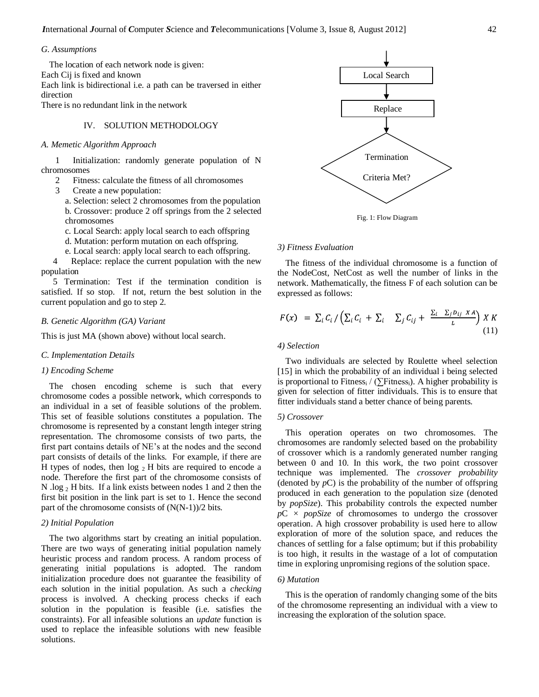## *G. Assumptions*

The location of each network node is given: Each Cij is fixed and known Each link is bidirectional i.e. a path can be traversed in either direction There is no redundant link in the network

IV. SOLUTION METHODOLOGY

# *A. Memetic Algorithm Approach*

1 Initialization: randomly generate population of N chromosomes

- 2 Fitness: calculate the fitness of all chromosomes
- 3 Create a new population:
	- a. Selection: select 2 chromosomes from the population b. Crossover: produce 2 off springs from the 2 selected chromosomes
	- c. Local Search: apply local search to each offspring
	- d. Mutation: perform mutation on each offspring.
	- e. Local search: apply local search to each offspring.

4 Replace: replace the current population with the new population

5 Termination: Test if the termination condition is satisfied. If so stop. If not, return the best solution in the current population and go to step 2.

## *B. Genetic Algorithm (GA) Variant*

This is just MA (shown above) without local search.

#### *C. Implementation Details*

#### *1) Encoding Scheme*

The chosen encoding scheme is such that every chromosome codes a possible network, which corresponds to an individual in a set of feasible solutions of the problem. This set of feasible solutions constitutes a population. The chromosome is represented by a constant length integer string representation. The chromosome consists of two parts, the first part contains details of NE's at the nodes and the second part consists of details of the links. For example, if there are H types of nodes, then  $log_2 H$  bits are required to encode a node. Therefore the first part of the chromosome consists of N .log  $_2$  H bits. If a link exists between nodes 1 and 2 then the first bit position in the link part is set to 1. Hence the second part of the chromosome consists of (N(N-1))/2 bits.

# *2) Initial Population*

The two algorithms start by creating an initial population. There are two ways of generating initial population namely heuristic process and random process. A random process of generating initial populations is adopted. The random initialization procedure does not guarantee the feasibility of each solution in the initial population. As such a *checking* process is involved. A checking process checks if each solution in the population is feasible (i.e. satisfies the constraints). For all infeasible solutions an *update* function is used to replace the infeasible solutions with new feasible solutions.



Fig. 1: Flow Diagram

## *3) Fitness Evaluation*

The fitness of the individual chromosome is a function of the NodeCost, NetCost as well the number of links in the network. Mathematically, the fitness F of each solution can be expressed as follows:

$$
F(x) = \sum_{i} C_{i} / \left( \sum_{i} C_{i} + \sum_{i} \sum_{j} C_{ij} + \frac{\sum_{i} \sum_{j} D_{ij} X A}{L} \right) X K
$$
\n(11)

#### *4) Selection*

Two individuals are selected by Roulette wheel selection [15] in which the probability of an individual i being selected is proportional to Fitness,  $/$  ( $\sum$ Fitness<sub>i</sub>). A higher probability is given for selection of fitter individuals. This is to ensure that fitter individuals stand a better chance of being parents.

## *5) Crossover*

This operation operates on two chromosomes. The chromosomes are randomly selected based on the probability of crossover which is a randomly generated number ranging between 0 and 10. In this work, the two point crossover technique was implemented. The *crossover probability*  (denoted by  $pC$ ) is the probability of the number of offspring produced in each generation to the population size (denoted by *popSize*). This probability controls the expected number  $pC \times popSize$  of chromosomes to undergo the crossover operation. A high crossover probability is used here to allow exploration of more of the solution space, and reduces the chances of settling for a false optimum; but if this probability is too high, it results in the wastage of a lot of computation time in exploring unpromising regions of the solution space.

# *6) Mutation*

This is the operation of randomly changing some of the bits of the chromosome representing an individual with a view to increasing the exploration of the solution space.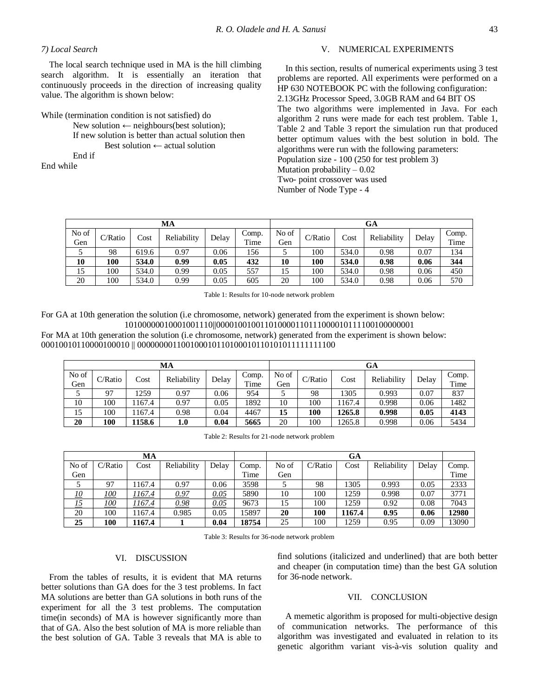# *7) Local Search*

The local search technique used in MA is the hill climbing search algorithm. It is essentially an iteration that continuously proceeds in the direction of increasing quality value. The algorithm is shown below:

While (termination condition is not satisfied) do

New solution  $\leftarrow$  neighbours(best solution); If new solution is better than actual solution then Best solution ← actual solution End if

End while

# V. NUMERICAL EXPERIMENTS

In this section, results of numerical experiments using 3 test problems are reported. All experiments were performed on a HP 630 NOTEBOOK PC with the following configuration: 2.13GHz Processor Speed, 3.0GB RAM and 64 BIT OS The two algorithms were implemented in Java. For each algorithm 2 runs were made for each test problem. Table 1, Table 2 and Table 3 report the simulation run that produced better optimum values with the best solution in bold. The algorithms were run with the following parameters: Population size - 100 (250 for test problem 3) Mutation probability  $-0.02$ Two- point crossover was used Number of Node Type - 4

| МA    |         |       |             |       |       |       | GA      |       |             |       |       |  |
|-------|---------|-------|-------------|-------|-------|-------|---------|-------|-------------|-------|-------|--|
| No of | C/Ratio | Cost  | Reliability | Delay | Comp. | No of | C/Ratio | Cost  | Reliability | Delay | Comp. |  |
| Gen   |         |       |             |       | Time  | Gen   |         |       |             |       | Time  |  |
|       | 98      | 619.6 | 0.97        | 0.06  | 156   |       | 100     | 534.0 | 0.98        | 0.07  | 134   |  |
| 10    | 100     | 534.0 | 0.99        | 0.05  | 432   | 10    | 100     | 534.0 | 0.98        | 0.06  | 344   |  |
| 15    | 100     | 534.0 | 0.99        | 0.05  | 557   | 15    | 100     | 534.0 | 0.98        | 0.06  | 450   |  |
| 20    | 100     | 534.0 | 0.99        | 0.05  | 605   | 20    | 100     | 534.0 | 0.98        | 0.06  | 570   |  |

Table 1: Results for 10-node network problem

For GA at 10th generation the solution (i.e chromosome, network) generated from the experiment is shown below: 10100000010001001110||000010010011010000110111000010111100100000001

For MA at 10th generation the solution (i.e chromosome, network) generated from the experiment is shown below: 00010010110000100010 || 000000001100100010110100010110101011111111100

| МA    |         |        |             |       |                    |       | GA      |        |             |       |       |  |
|-------|---------|--------|-------------|-------|--------------------|-------|---------|--------|-------------|-------|-------|--|
| No of | C/Ratio | Cost   | Reliability | Delay | $\mathcal{L}$ omp. | No of | C/Ratio | Cost   | Reliability | Delay | Comp. |  |
| Gen   |         |        |             |       | Time               | Gen   |         |        |             |       | Time  |  |
|       | 97      | 1259   | 0.97        | 0.06  | 954                |       | 98      | 305    | 0.993       | 0.07  | 837   |  |
| 10    | 100     | 167.4  | 0.97        | 0.05  | 1892               | 10    | 100     | 167.4  | 0.998       | 0.06  | 1482  |  |
| 15    | 100     | 167.4  | 0.98        | 0.04  | 4467               | 15    | 100     | 1265.8 | 0.998       | 0.05  | 4143  |  |
| 20    | 100     | 1158.6 | 1.0         | 0.04  | 5665               | 20    | 100     | 1265.8 | 0.998       | 0.06  | 5434  |  |

Table 2: Results for 21-node network problem

| MA        |             |         |             |       |       | GA    |         |        |             |       |       |
|-----------|-------------|---------|-------------|-------|-------|-------|---------|--------|-------------|-------|-------|
| No of     | C/Ratio     | Cost    | Reliability | Delay | Comp. | No of | C/Ratio | Cost   | Reliability | Delay | Comp. |
| Gen       |             |         |             |       | Time  | Gen   |         |        |             |       | Time  |
|           | 97          | 167.4   | 0.97        | 0.06  | 3598  |       | 98      | 1305   | 0.993       | 0.05  | 2333  |
| <u>10</u> | 100         | !167.4  | 0.97        | 0.05  | 5890  | 10    | 100     | 1259   | 0.998       | 0.07  | 3771  |
| <u>15</u> | <u> 100</u> | ' 167.4 | 0.98        | 0.05  | 9673  | 15    | 100     | 1259   | 0.92        | 0.08  | 7043  |
| 20        | 100         | 167.4   | 0.985       | 0.05  | 15897 | 20    | 100     | 1167.4 | 0.95        | 0.06  | 12980 |
| 25        | 100         | 1167.4  |             | 0.04  | 18754 | 25    | 100     | 1259   | 0.95        | 0.09  | 13090 |

Table 3: Results for 36-node network problem

# VI. DISCUSSION

From the tables of results, it is evident that MA returns better solutions than GA does for the 3 test problems. In fact MA solutions are better than GA solutions in both runs of the experiment for all the 3 test problems. The computation time(in seconds) of MA is however significantly more than that of GA. Also the best solution of MA is more reliable than the best solution of GA. Table 3 reveals that MA is able to find solutions (italicized and underlined) that are both better and cheaper (in computation time) than the best GA solution for 36-node network.

#### VII. CONCLUSION

A memetic algorithm is proposed for multi-objective design of communication networks. The performance of this algorithm was investigated and evaluated in relation to its genetic algorithm variant vis-à-vis solution quality and